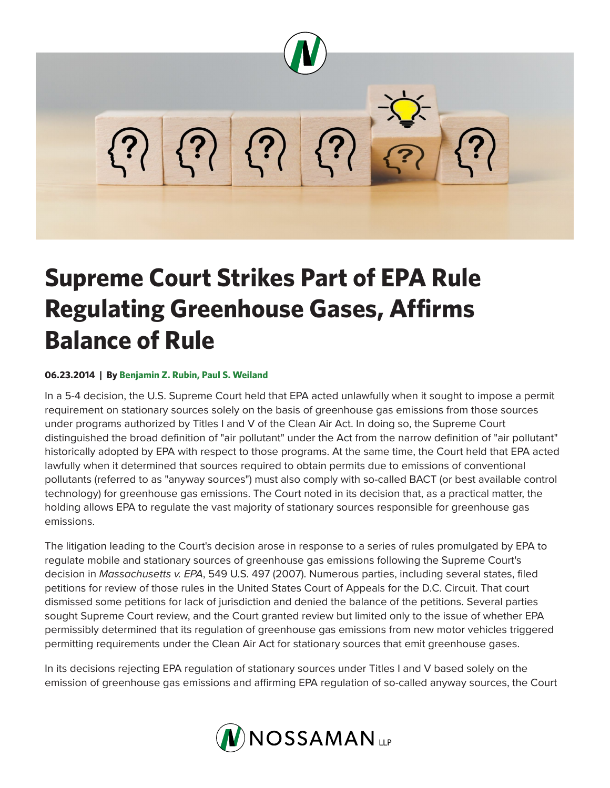

## **Supreme Court Strikes Part of EPA Rule Regulating Greenhouse Gases, Affirms Balance of Rule**

## **06.23.2014 | By Benjamin Z. Rubin, Paul S. Weiland**

In a 5-4 decision, the U.S. Supreme Court held that EPA acted unlawfully when it sought to impose a permit requirement on stationary sources solely on the basis of greenhouse gas emissions from those sources under programs authorized by Titles I and V of the Clean Air Act. In doing so, the Supreme Court distinguished the broad definition of "air pollutant" under the Act from the narrow definition of "air pollutant" historically adopted by EPA with respect to those programs. At the same time, the Court held that EPA acted lawfully when it determined that sources required to obtain permits due to emissions of conventional pollutants (referred to as "anyway sources") must also comply with so-called BACT (or best available control technology) for greenhouse gas emissions. The Court noted in its decision that, as a practical matter, the holding allows EPA to regulate the vast majority of stationary sources responsible for greenhouse gas emissions.

The litigation leading to the Court's decision arose in response to a series of rules promulgated by EPA to regulate mobile and stationary sources of greenhouse gas emissions following the Supreme Court's decision in *Massachusetts v. EPA*, 549 U.S. 497 (2007). Numerous parties, including several states, filed petitions for review of those rules in the United States Court of Appeals for the D.C. Circuit. That court dismissed some petitions for lack of jurisdiction and denied the balance of the petitions. Several parties sought Supreme Court review, and the Court granted review but limited only to the issue of whether EPA permissibly determined that its regulation of greenhouse gas emissions from new motor vehicles triggered permitting requirements under the Clean Air Act for stationary sources that emit greenhouse gases.

In its decisions rejecting EPA regulation of stationary sources under Titles I and V based solely on the emission of greenhouse gas emissions and affirming EPA regulation of so-called anyway sources, the Court